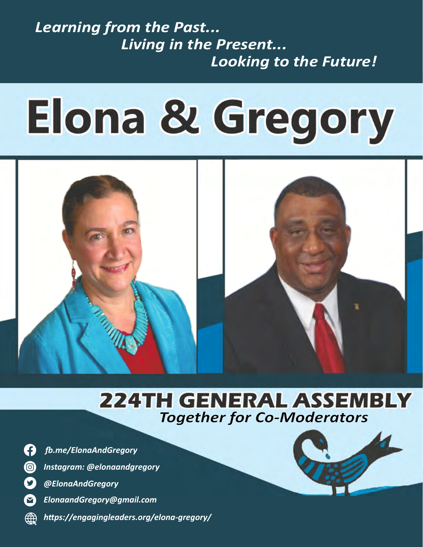# Learning from the Past... Living in the Present... Looking to the Future!

# **Elona & Gregory**



# **224TH GENERAL ASSEMBLY Together for Co-Moderators**

Ø  $\circledcirc$ 9

困

�.me/ElonaAndGregory

Instagram: @elonaandgregory



 $\boldsymbol{\mathsf{\Omega}}$ ElonaandGregory@gmail.com

https://engagingleaders.org/elona-gregory/

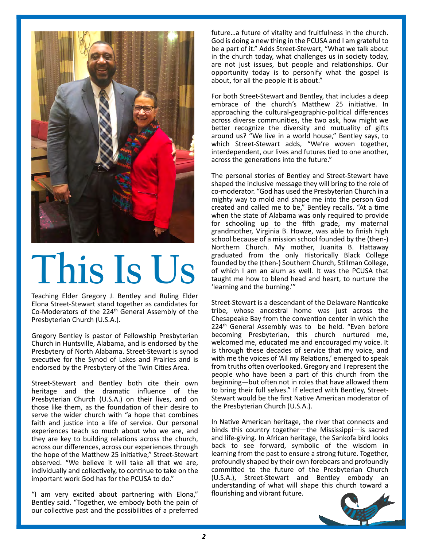

Teaching Elder Gregory J. Bentley and Ruling Elder and future. We have a state of the state of the state of the Elona Street-Stewart stand together as candidates for Co-Moderators of the 224th General Assembly of the Presbyterian Church (U.S.A.).

endorsed by the Presbytery of the Twin Cities Area. Gregory Bentley is pastor of Fellowship Presbyterian Presbytery of North Alabama. Street-Stewart is synod executive for the Synod of Lakes and Prairies and is

heritage and the dramatic influence of the to-bring-their-full-selves." If-elected with Bentley, Single infunction and the from the from the from the from the from the from the from the from the from the from the from the those like them, as the foundation of their desire to the Presbyterian Church (U.S.A.). serve the wider church with "a hope that combines confirmation of a shared call as co-moderators, to serve our faith and justice into a life of service. Our personal they are key to building relations across the church,<br>across our differences, across our experiences through the hope of the Matthew 25 initiative, Street-Stewart<br>observed. "We believe it will take all that we are, Presbyterian Church (U.S.A.) on their lives, and on experiences teach so much about who we are, and they are key to building relations across the church, the hope of the Matthew 25 initiative," Street-Stewart individually and collectively, to continue to take on the important work God has for the PCUSA to do."

"I am very excited about partnering with Elona," Bentley said. "Together, we embody both the pain of our collective past and the possibilities of a preferred

For President President President Community of God's people in community and indicated by Health COM and I am grateful to **of the conferred and cullumated and cullum** be a part of it." Adds Street-Stewart, "What we talk about That has truly been the case, for Elona and Gregory, as we celebrate our roots in the collec�ve spiritual are not just issues, but people and rela�onships. Our future...a future of vitality and fruitfulness in the church. in the church today, what challenges us in society today, opportunity today is to personify what the gospel is

prior to the insistence of the church's Matthew 25 initiative. In approaching the cultural-geographic-political differences converse communices, the two dot, flow might we<br>better recognize the diversity and mutuality of gifts **Only a** aber prayer interdependent, our lives and futures  $\frac{1}{2}$  that small voice of God could we step that shows and futures  $\frac{1}{2}$  that shows are another, across diverse communi�es, the two ask, how might we around us? "We live in a world house," Bentley says, to which Street-Stewart adds, "We're woven together, across the generations into the future."

The personal stories or bentley and sheet-stewart have<br>shaped the inclusive message they will bring to the role of co-moderator. "God has used the Presbyterian Church in a between the best version of its lighty way to mold and shape me into the person God function of the perspective and residence for perspective collections of the perspective part of the perspective part of the perspective part of the state of Alabama was only required to provide has shaped us for schooling up to the fifth grade, my maternal which we lives: the best of our past as a guidepost rather than a high school because of a mission school founded by the (then-) Northern Church. My mother, Juanita B. Hattaway founded by the (then-) Southern Church, Stillman College,  $\bullet$  of which I am an alum as well. It was the PCUSA that Founded by the (then-) Southern Church, Stillman Colle<br>of which I am an alum as well. It was the PCUSA<br>dught me how to blend head and heart, to nurture<br>"learning and the burning." The personal stories of Bentley and Street-Stewart have created and called me to be," Bentley recalls. "At a time grandmother, Virginia B. Howze, was able to fnish high graduated from the only Historically Black College taught me how to blend head and heart, to nurture the 'learning and the burning.'"

bether as candidates for Street-Stewart is a descendant of the Delaware Nanticoke eneral Assembly of the called it that God has called it to be convention center in which the regory Bentley is pastor of Fellowship Presbyterian becoming Presbyterian, this church nurtured me, Church in Huntsville, Alabama, and is endorsed by the welcomed me, educated me and encouraged my voice esbytery of North Alabama. Street-Stewart is synod the stribught these decades of service that my voice, and<br>ecutive for the Synod of Lakes and Prairies and is the with me the voices of 'All my Relations,' emerged to speak Street-Stewart and Bentley both cite their own beginning—but often not in roles that have allowed t tribe, whose ancestral home was just across the 224<sup>th</sup> General Assembly was to be held. "Even before welcomed me, educated me and encouraged my voice. It is through these decades of service that my voice, and from truths often overlooked. Gregory and I represent the people who have been a part of this church from the beginning—but often not in roles that have allowed them to bring their full selves." If elected with Bentley, Street-Stewart would be the first Native American moderator of the Presbyterian Church (U.S.A.).

> In Native American heritage, the river that connects and binds this country together—the Mississippi—is sacred and life-giving. In African heritage, the Sankofa bird looks back to see forward, symbolic of the wisdom in learning from the past to ensure a strong future. Together, profoundly shaped by their own forebears and profoundly commi�ed to the future of the Presbyterian Church (U.S.A.), Street-Stewart and Bentley embody an understanding of what will shape this church toward a flourishing and vibrant future.

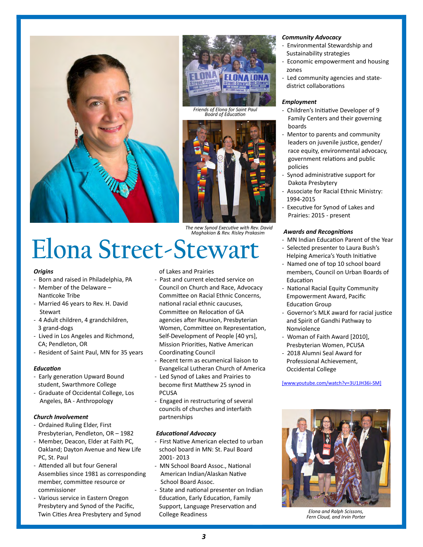





Maghakian & Rev. Risley Prakasim

# Maghakian & Rev. Risley Prakasim **AWATAS ANA HECOGNITIONS**<br>And lindian Education Post, to guide use that a higher than a higher post, to guide use that the use of the post Elona Street-Stewart Fighter and Street and the laura - Named one of top 10 school board

# **Origins**

- Born and raised in Philadelphia, PA
- Member of the Delaware Nanticoke Tribe
- Married 46 years to Rev. H. David Stewart
- 4 Adult children, 4 grandchildren, 3 grand-dogs
- Lived in Los Angeles and Richmond, CA; Pendleton, OR
- 

# Education

- Early generation Upward Bound student, Swarthmore College
- Graduate of Occidental College, Los elected commission entrancers from the unit of unformal commissioners from the unit of unformal commissioners from the unit of unformal commissioners from the unit of unit of unformal Angeles, BA - Anthropology

- Ordained Ruling Elder, First Presbyterian, Pendleton, OR – 1982
- Member, Deacon, Elder at Faith PC, PC, St. Paul 2001-2 Oakland; Dayton Avenue and New Life
- Attended all but four General Assemblies since 1981 as corresponding member, commi�ee resource or commissioner
- Various service in Eastern Oregon Presbytery and Synod of the Pacifc, Twin Cities Area Presbytery and Synod

# of Lakes and Prairies

- pack between the of uncertainty and the conduction of the conduction of the council on Council on Church and Race, Advocacy and Nacial Equity Community Committee on Racial Ethnic Concerns, Fund and future. Pacific id and hard here to bring gifts of our people to be a state of our people to be a state to be a state of our p<br>nad the caucuses of our people to be a state of our people to be a state of our people of the state of the stat en becommitted in Religion of GA and Berling it to be a coverflight state it to be experienced it to be experienced it to be experienced it to be experienced it to be experienced it to be experienced it to be experienced i The church is more in the community of the minister of the church is monthed even in the church in the church i<br>Lived in Los Angeles and Richmond, Self-Development of People [40 yrs], The Moman of Faith Award [201 CA; Pendleton, OR **CAUCID-19 are obvious and COVID-19 are obvious** presbyterian Women, PCUSA be Resident of Saint Paul, MN for 35 years coordinating Council and the extine of the exhibit such a competitive such a competitive such a competitive such a contract of the kingdom of the kingdom of the kingdom of the kin - Past and current elected service on Committee on Relocation of GA Women, Committee on Representation, **Coordinating Council** 
	- Recent term as ecumenical liaison to Evangelical Lutheran Church of America
- Exact response to the call to serve as correct to the correct to the correct our response to the computation of the correct serves of the correct of the church student. Swarthmore College become first Matthew 25 synod in - Led Synod of Lakes and Prairies to become first Matthew 25 synod in PCUSA
- Angeles, BA Anthropology **Figaged in restructuring of several** Angeles, BA Anthropology **Area to the 224th General Assembly, of several Assembly, and interfaith** councils of churches and interfaith partnerships

# **Educational Advocacy**

- First Native American elected to urban school board in MN: St. Paul Board 2001- 2013
- MN School Board Assoc., National American Indian/Alaskan Native School Board Assoc.
- State and national presenter on Indian Education, Early Education, Family Support, Language Preservation and College Readiness

- Environmental Stewardship and Sustainability strategies
- Economic empowerment and housing zones
- Led community agencies and statedistrict collaborations

## Employment

- Children's Initiative Developer of 9 Family Centers and their governing boards
- Mentor to parents and community leaders on juvenile justice, gender/ government relations and public policies
- Synod administrative support for Dakota Presbytery
- 1994-2015
- Executive for Synod of Lakes and

# **Awards and Recognitions**

- MN Indian Education Parent of the Year
- Selected presenter to Laura Bush's Helping America's Youth Initiative
- of Lakes and Prairies **Example 19 and hope. Like the Sankofa bird of our local of our local of our local of our lo** Fducation
	- National Racial Equity Community Empowerment Award, Pacifc **Education Group**
	- Governor's MLK award for racial justice and Spirit of Gandhi Pathway to Nonviolence
	- Woman of Faith Award [2010], Presbyterian Women, PCUSA
	- 2018 Alumni Seal Award for Professional Achievement, Occidental College



Elona and Ralph Scissons, Fern Cloud, and Irvin Porter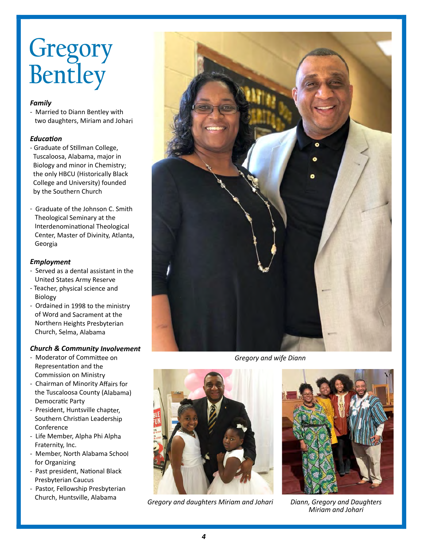# Gregory Bentley

# Family

two daughters, Miriam and Johari

- **for the considered for such a remarkable honor.** - Graduate of Stillman College, the only HBCU (Historically Black
- Graduate of the Johnson C. Smith Theological Seminary at the Georgia

# Employment

- Served as a dental assistant in the United States Army Reserve
- Teacher, physical science and Biology
- Ordained in 1998 to the ministry of Word and Sacrament at the Northern Heights Presbyterian

- be the body of Committee on the competition of the exhibition of the exhibition of the exhibition of the exhibition of the kingdom of the exhibition of the kingdom of the kingdom of the kingdom of the kingdom of the kingdo Representation and the Commission on Ministry
- Democratic Party
- Conference denomination of the context of the context of the context of the context of the context of the context of the context of the context of the context of the context of the context of the context of the context of - President, Huntsville chapter,
- Fraternity, Inc. - Life Member, Alpha Phi Alpha
- For Organizing Bentley Bentley Bentley Bentley Bentley Bentley Bentley Bentley - Member, North Alabama School
- Past president, National Black Presbyterian Caucus
- Pastor, Fellowship Presbyterian Church, Huntsville, Alabama



Gregory and wife Diann



Gregory and daughters Miriam and Johari



Diann, Gregory and Daughters Miriam and Johari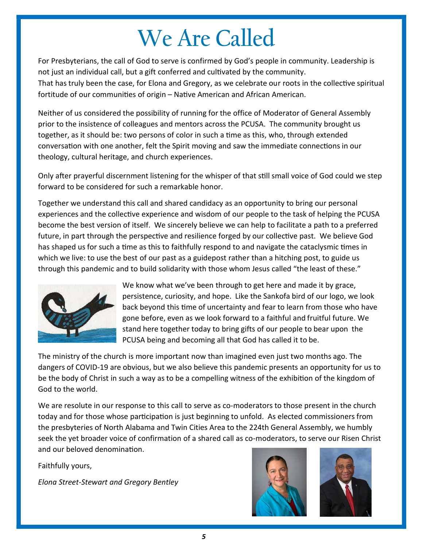# We Are Called

For Presbyterians, the call of God to serve is confirmed by God's people in community. Leadership is not just an individual call, but a gift conferred and cultivated by the community. That has truly been the case, for Elona and Gregory, as we celebrate our roots in the collective spiritual fortitude of our communities of origin – Native American and African American.

Neither of us considered the possibility of running for the office of Moderator of General Assembly prior to the insistence of colleagues and mentors across the PCUSA. The community brought us together, as it should be: two persons of color in such a time as this, who, through extended conversation with one another, felt the Spirit moving and saw the immediate connections in our theology, cultural heritage, and church experiences.

Only after prayerful discernment listening for the whisper of that still small voice of God could we step forward to be considered for such a remarkable honor.

Together we understand this call and shared candidacy as an opportunity to bring our personal experiences and the collective experience and wisdom of our people to the task of helping the PCUSA become the best version of itself. We sincerely believe we can help to facilitate a path to a preferred future, in part through the perspective and resilience forged by our collective past. We believe God has shaped us for such a time as this to faithfully respond to and navigate the cataclysmic times in which we live: to use the best of our past as a guidepost rather than a hitching post, to guide us through this pandemic and to build solidarity with those whom Jesus called "the least of these."



We know what we've been through to get here and made it by grace, persistence, curiosity, and hope. Like the Sankofa bird of our logo, we look back beyond this time of uncertainty and fear to learn from those who have gone before, even as we look forward to a faithful and fruitful future. We stand here together today to bring gifts of our people to bear upon the PCUSA being and becoming all that God has called it to be.

The ministry of the church is more important now than imagined even just two months ago. The dangers of COVID-19 are obvious, but we also believe this pandemic presents an opportunity for us to be the body of Christ in such a way as to be a compelling witness of the exhibition of the kingdom of God to the world.

We are resolute in our response to this call to serve as co-moderators to those present in the church today and for those whose participation is just beginning to unfold. As elected commissioners from the presbyteries of North Alabama and Twin Cities Area to the 224th General Assembly, we humbly seek the yet broader voice of confirmation of a shared call as co-moderators, to serve our Risen Christ and our beloved denomination.

Faithfully yours,

Elona Street-Stewart and Gregory Bentley



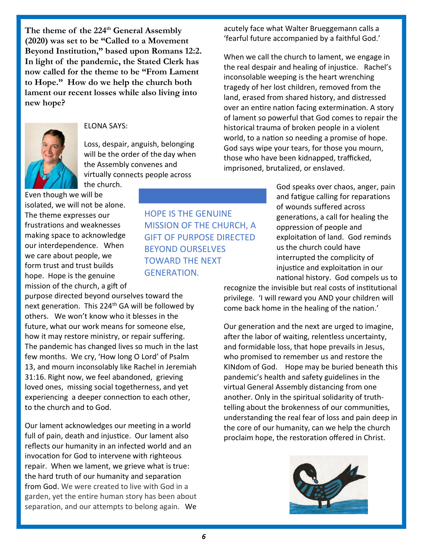The theme of the 224<sup>th</sup> General Assembly (2020) was set to be "Called to a Movement Beyond Institution," based upon Romans 12:2. In light of the pandemic, the Stated Clerk has now called for the theme to be "From Lament to Hope." How do we help the church both lament our recent losses while also living into new hope?



# ELONA SAYS:

Loss, despair, anguish, belonging will be the order of the day when the Assembly convenes and virtually connects people across the church.

Even though we will be isolated, we will not be alone. The theme expresses our frustrations and weaknesses making space to acknowledge our interdependence. When we care about people, we form trust and trust builds hope. Hope is the genuine mission of the church, a gift of

purpose directed beyond ourselves toward the next generation. This 224<sup>th</sup> GA will be followed by others. We won't know who it blesses in the future, what our work means for someone else, how it may restore ministry, or repair suffering. The pandemic has changed lives so much in the last few months. We cry, 'How long O Lord' of Psalm 13, and mourn inconsolably like Rachel in Jeremiah 31:16. Right now, we feel abandoned, grieving loved ones, missing social togetherness, and yet experiencing a deeper connection to each other, to the church and to God.

Our lament acknowledges our meeting in a world full of pain, death and injustice. Our lament also refects our humanity in an infected world and an invocation for God to intervene with righteous repair. When we lament, we grieve what is true: the hard truth of our humanity and separation from God. We were created to live with God in a garden, yet the entire human story has been about separation, and our attempts to belong again. We

acutely face what Walter Brueggemann calls a 'fearful future accompanied by a faithful God.'

When we call the church to lament, we engage in the real despair and healing of injustice. Rachel's inconsolable weeping is the heart wrenching tragedy of her lost children, removed from the land, erased from shared history, and distressed over an entire nation facing extermination. A story of lament so powerful that God comes to repair the historical trauma of broken people in a violent world, to a nation so needing a promise of hope. God says wipe your tears, for those you mourn, those who have been kidnapped, trafficked, imprisoned, brutalized, or enslaved.

> God speaks over chaos, anger, pain and fatigue calling for reparations of wounds suffered across generations, a call for healing the oppression of people and exploitation of land. God reminds us the church could have interrupted the complicity of injustice and exploitation in our national history. God compels us to

recognize the invisible but real costs of institutional privilege. 'I will reward you AND your children will come back home in the healing of the nation.'

Our generation and the next are urged to imagine, after the labor of waiting, relentless uncertainty, and formidable loss, that hope prevails in Jesus, who promised to remember us and restore the KINdom of God. Hope may be buried beneath this pandemic's health and safety guidelines in the virtual General Assembly distancing from one another. Only in the spiritual solidarity of truthtelling about the brokenness of our communities, understanding the real fear of loss and pain deep in the core of our humanity, can we help the church proclaim hope, the restoration offered in Christ.



HOPE IS THE GENUINE MISSION OF THE CHURCH, A GIFT OF PURPOSE DIRECTED BEYOND OURSELVES TOWARD THE NEXT GENERATION.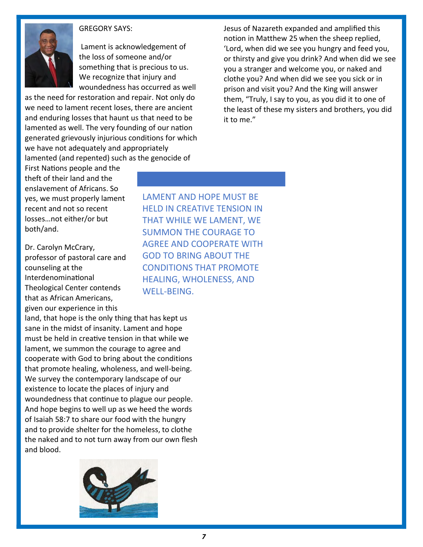

# GREGORY SAYS:

Lament is acknowledgement of the loss of someone and/or something that is precious to us. We recognize that injury and woundedness has occurred as well

as the need for restoration and repair. Not only do we need to lament recent loses, there are ancient and enduring losses that haunt us that need to be lamented as well. The very founding of our nation generated grievously injurious conditions for which we have not adequately and appropriately lamented (and repented) such as the genocide of

Jesus of Nazareth expanded and amplifed this notion in Matthew 25 when the sheep replied, 'Lord, when did we see you hungry and feed you, or thirsty and give you drink? And when did we see you a stranger and welcome you, or naked and clothe you? And when did we see you sick or in prison and visit you? And the King will answer them, "Truly, I say to you, as you did it to one of the least of these my sisters and brothers, you did it to me."

First Nations people and the theft of their land and the enslavement of Africans. So yes, we must properly lament recent and not so recent losses…not either/or but both/and.

Dr. Carolyn McCrary, professor of pastoral care and counseling at the Interdenominational Theological Center contends that as African Americans, given our experience in this

land, that hope is the only thing that has kept us sane in the midst of insanity. Lament and hope must be held in creative tension in that while we lament, we summon the courage to agree and cooperate with God to bring about the conditions that promote healing, wholeness, and well-being. We survey the contemporary landscape of our existence to locate the places of injury and woundedness that continue to plague our people. And hope begins to well up as we heed the words of Isaiah 58:7 to share our food with the hungry and to provide shelter for the homeless, to clothe the naked and to not turn away from our own flesh and blood.



LAMENT AND HOPE MUST BE HELD IN CREATIVE TENSION IN THAT WHILE WE LAMENT, WE SUMMON THE COURAGE TO AGREE AND COOPERATE WITH GOD TO BRING ABOUT THE CONDITIONS THAT PROMOTE HEALING, WHOLENESS, AND WELL-BEING.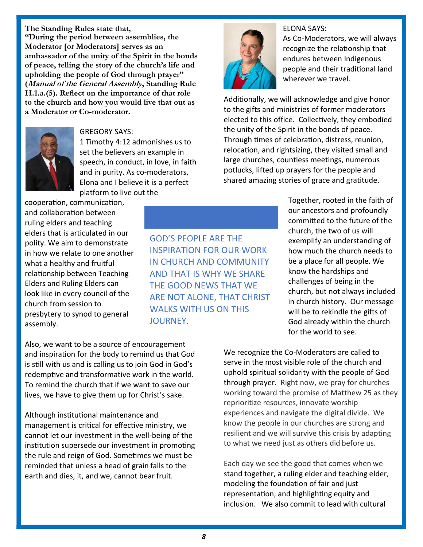The Standing Rules state that, "During the period between assemblies, the Moderator [or Moderators] serves as an ambassador of the unity of the Spirit in the bonds of peace, telling the story of the church's life and upholding the people of God through prayer" (Manual of the General Assembly, Standing Rule H.1.a.(5). Refect on the importance of that role to the church and how you would live that out as a Moderator or Co-moderator.



# GREGORY SAYS:

1 Timothy 4:12 admonishes us to set the believers an example in speech, in conduct, in love, in faith and in purity. As co-moderators, Elona and I believe it is a perfect platform to live out the

cooperation, communication, and collaboration between ruling elders and teaching elders that is articulated in our polity. We aim to demonstrate in how we relate to one another what a healthy and fruitful relationship between Teaching Elders and Ruling Elders can look like in every council of the church from session to presbytery to synod to general assembly.

GOD'S PEOPLE ARE THE INSPIRATION FOR OUR WORK IN CHURCH AND COMMUNITY AND THAT IS WHY WE SHARE THE GOOD NEWS THAT WE ARE NOT ALONE, THAT CHRIST WALKS WITH US ON THIS JOURNEY.

ELONA SAYS:



As Co-Moderators, we will always recognize the relationship that endures between Indigenous people and their tradi�onal land wherever we travel.

Additionally, we will acknowledge and give honor to the gifts and ministries of former moderators elected to this office. Collectively, they embodied the unity of the Spirit in the bonds of peace. Through times of celebration, distress, reunion, relocation, and rightsizing, they visited small and large churches, countless meetings, numerous potlucks, lifted up prayers for the people and shared amazing stories of grace and gratitude.

> Together, rooted in the faith of our ancestors and profoundly commi�ed to the future of the church, the two of us will exemplify an understanding of how much the church needs to be a place for all people. We know the hardships and challenges of being in the church, but not always included in church history. Our message will be to rekindle the gifts of God already within the church for the world to see.

Also, we want to be a source of encouragement and inspiration for the body to remind us that God is still with us and is calling us to join God in God's redemptive and transformative work in the world. To remind the church that if we want to save our lives, we have to give them up for Christ's sake.

Although institutional maintenance and management is critical for effective ministry, we cannot let our investment in the well-being of the institution supersede our investment in promoting the rule and reign of God. Sometimes we must be reminded that unless a head of grain falls to the earth and dies, it, and we, cannot bear fruit.

We recognize the Co-Moderators are called to serve in the most visible role of the church and uphold spiritual solidarity with the people of God through prayer. Right now, we pray for churches working toward the promise of Matthew 25 as they reprioritize resources, innovate worship experiences and navigate the digital divide. We know the people in our churches are strong and resilient and we will survive this crisis by adapting to what we need just as others did before us.

Each day we see the good that comes when we stand together, a ruling elder and teaching elder, modeling the foundation of fair and just representation, and highlighting equity and inclusion. We also commit to lead with cultural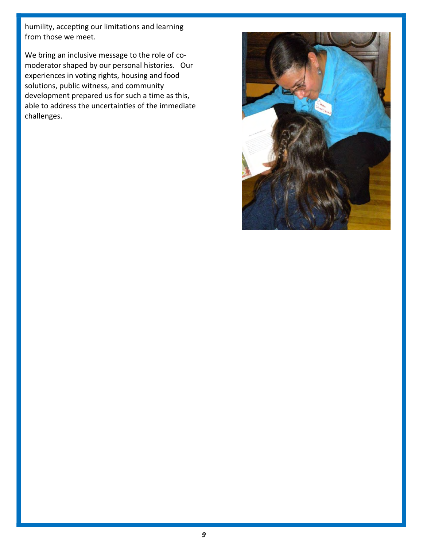humility, accepting our limitations and learning from those we meet.

We bring an inclusive message to the role of comoderator shaped by our personal histories. Our experiences in voting rights, housing and food solutions, public witness, and community development prepared us for such a time as this, able to address the uncertainties of the immediate challenges.

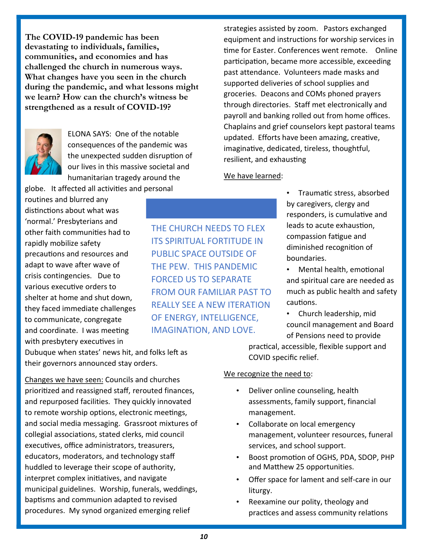The COVID-19 pandemic has been devastating to individuals, families, communities, and economies and has challenged the church in numerous ways. What changes have you seen in the church during the pandemic, and what lessons might we learn? How can the church's witness be strengthened as a result of COVID-19?



ELONA SAYS: One of the notable consequences of the pandemic was the unexpected sudden disruption of our lives in this massive societal and humanitarian tragedy around the

globe. It affected all activi�es and personal routines and blurred any distinctions about what was 'normal.' Presbyterians and other faith communi�es had to rapidly mobilize safety precautions and resources and adapt to wave after wave of crisis contingencies. Due to various executive orders to shelter at home and shut down, they faced immediate challenges to communicate, congregate and coordinate. I was meeting with presbytery executives in

Dubuque when states' news hit, and folks left as their governors announced stay orders.

Changes we have seen: Councils and churches prioritized and reassigned staff, rerouted finances, and repurposed facilities. They quickly innovated to remote worship options, electronic meetings, and social media messaging. Grassroot mixtures of collegial associations, stated clerks, mid council executives, office administrators, treasurers, educators, moderators, and technology staf huddled to leverage their scope of authority, interpret complex initiatives, and navigate municipal guidelines. Worship, funerals, weddings, baptisms and communion adapted to revised procedures. My synod organized emerging relief

THE CHURCH NEEDS TO FLEX ITS SPIRITUAL FORTITUDE IN PUBLIC SPACE OUTSIDE OF THE PEW. THIS PANDEMIC FORCED US TO SEPARATE FROM OUR FAMILIAR PAST TO REALLY SEE A NEW ITERATION OF ENERGY, INTELLIGENCE, IMAGINATION, AND LOVE.

strategies assisted by zoom. Pastors exchanged equipment and instructions for worship services in time for Easter. Conferences went remote. Online participation, became more accessible, exceeding past attendance. Volunteers made masks and supported deliveries of school supplies and groceries. Deacons and COMs phoned prayers through directories. Staff met electronically and payroll and banking rolled out from home offices. Chaplains and grief counselors kept pastoral teams updated. Efforts have been amazing, creative, imaginative, dedicated, tireless, thoughtful, resilient, and exhausting

# We have learned:

• Trauma�c stress, absorbed by caregivers, clergy and responders, is cumulative and leads to acute exhaustion, compassion fa�gue and diminished recognition of boundaries.

Mental health, emotional and spiritual care are needed as much as public health and safety cautions.

• Church leadership, mid council management and Board of Pensions need to provide

prac�cal, accessible, flexible support and COVID specific relief.

# We recognize the need to:

- Deliver online counseling, health assessments, family support, financial management.
- Collaborate on local emergency management, volunteer resources, funeral services, and school support.
- Boost promotion of OGHS, PDA, SDOP, PHP and Matthew 25 opportunities.
- Offer space for lament and self-care in our liturgy.
- Reexamine our polity, theology and practices and assess community relations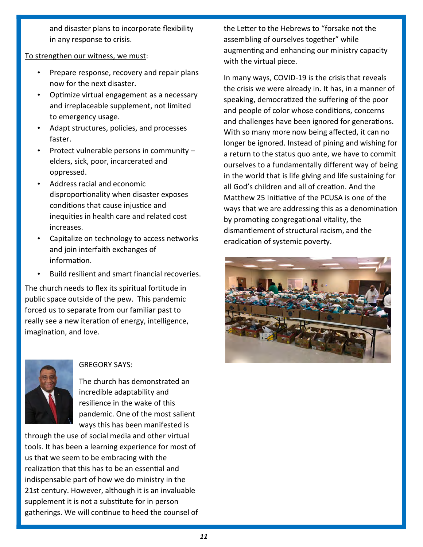and disaster plans to incorporate fexibility in any response to crisis.

# To strengthen our witness, we must:

- Prepare response, recovery and repair plans now for the next disaster.
- Optimize virtual engagement as a necessary and irreplaceable supplement, not limited to emergency usage.
- Adapt structures, policies, and processes faster.
- Protect vulnerable persons in community elders, sick, poor, incarcerated and oppressed.
- Address racial and economic disproportionality when disaster exposes conditions that cause injustice and inequities in health care and related cost increases.
- Capitalize on technology to access networks and join interfaith exchanges of information.
- Build resilient and smart financial recoveries.

The church needs to flex its spiritual fortitude in public space outside of the pew. This pandemic forced us to separate from our familiar past to really see a new iteration of energy, intelligence, imagination, and love.



# GREGORY SAYS:

The church has demonstrated an incredible adaptability and resilience in the wake of this pandemic. One of the most salient ways this has been manifested is

through the use of social media and other virtual tools. It has been a learning experience for most of us that we seem to be embracing with the realization that this has to be an essential and indispensable part of how we do ministry in the 21st century. However, although it is an invaluable supplement it is not a substitute for in person gatherings. We will continue to heed the counsel of the Letter to the Hebrews to "forsake not the assembling of ourselves together" while augmenting and enhancing our ministry capacity with the virtual piece.

In many ways, COVID-19 is the crisisthat reveals the crisis we were already in. It has, in a manner of speaking, democratized the suffering of the poor and people of color whose conditions, concerns and challenges have been ignored for generations. With so many more now being affected, it can no longer be ignored. Instead of pining and wishing for a return to the status quo ante, we have to commit ourselves to a fundamentally different way of being in the world that is life giving and life sustaining for all God's children and all of creation. And the Matthew 25 Initiative of the PCUSA is one of the ways that we are addressing this as a denomination by promoting congregational vitality, the dismantlement of structural racism, and the eradication of systemic poverty.

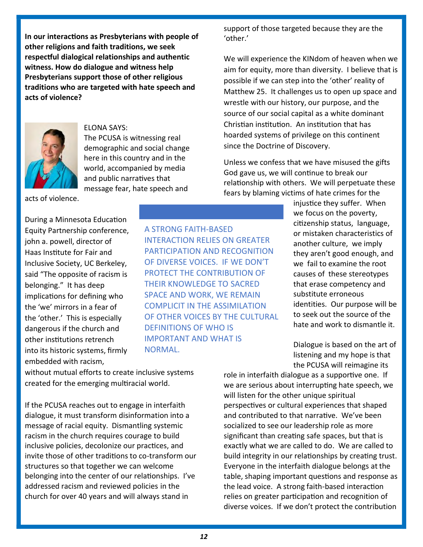In our interactions as Presbyterians with people of other religions and faith traditions, we seek respectful dialogical relationships and authentic witness. How do dialogue and witness help Presbyterians support those of other religious traditions who are targeted with hate speech and acts of violence?



# ELONA SAYS:

The PCUSA is witnessing real demographic and social change here in this country and in the world, accompanied by media and public narratives that message fear, hate speech and

acts of violence.

During a Minnesota Education Equity Partnership conference, john a. powell, director of Haas Ins�tute for Fair and Inclusive Society, UC Berkeley, said "The opposite of racism is belonging." It has deep implications for defining who the 'we' mirrors in a fear of the 'other.' This is especially dangerous if the church and other institutions retrench into its historic systems, frmly embedded with racism,

without mutual efforts to create inclusive systems created for the emerging multiracial world.

If the PCUSA reaches out to engage in interfaith dialogue, it must transform disinformation into a message of racial equity. Dismantling systemic racism in the church requires courage to build inclusive policies, decolonize our practices, and invite those of other traditions to co-transform our structures so that together we can welcome belonging into the center of our relationships. I've addressed racism and reviewed policies in the church for over 40 years and will always stand in

support of those targeted because they are the 'other.'

We will experience the KINdom of heaven when we aim for equity, more than diversity. I believe that is possible if we can step into the 'other' reality of Matthew 25. It challenges us to open up space and wrestle with our history, our purpose, and the source of our social capital as a white dominant Christian institution. An institution that has hoarded systems of privilege on this continent since the Doctrine of Discovery.

Unless we confess that we have misused the gifts God gave us, we will continue to break our relationship with others. We will perpetuate these fears by blaming victims of hate crimes for the

> injustice they suffer. When we focus on the poverty, citizenship status, language, or mistaken characteristics of another culture, we imply they aren't good enough, and we fail to examine the root causes of these stereotypes that erase competency and substitute erroneous identities. Our purpose will be to seek out the source of the hate and work to dismantle it.

> Dialogue is based on the art of listening and my hope is that the PCUSA will reimagine its

role in interfaith dialogue as a supportive one. If we are serious about interrupting hate speech, we will listen for the other unique spiritual perspectives or cultural experiences that shaped and contributed to that narrative. We've been socialized to see our leadership role as more significant than creating safe spaces, but that is exactly what we are called to do. We are called to build integrity in our relationships by creating trust. Everyone in the interfaith dialogue belongs at the table, shaping important questions and response as the lead voice. A strong faith-based interaction relies on greater participation and recognition of diverse voices. If we don't protect the contribution

A STRONG FAITH-BASED INTERACTION RELIES ON GREATER PARTICIPATION AND RECOGNITION OF DIVERSE VOICES. IF WE DON'T PROTECT THE CONTRIBUTION OF THEIR KNOWLEDGE TO SACRED SPACE AND WORK, WE REMAIN COMPLICIT IN THE ASSIMILATION OF OTHER VOICES BY THE CULTURAL DEFINITIONS OF WHO IS IMPORTANT AND WHAT IS NORMAL.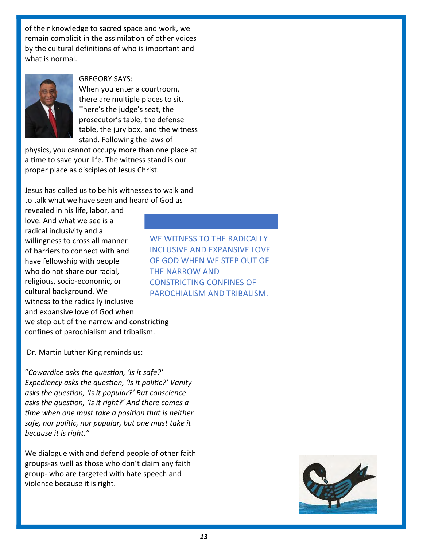of their knowledge to sacred space and work, we remain complicit in the assimilation of other voices by the cultural definitions of who is important and what is normal.



GREGORY SAYS:

When you enter a courtroom, there are multiple places to sit. There's the judge's seat, the prosecutor's table, the defense table, the jury box, and the witness stand. Following the laws of

physics, you cannot occupy more than one place at a time to save your life. The witness stand is our proper place as disciples of Jesus Christ.

Jesus has called us to be his witnesses to walk and to talk what we have seen and heard of God as

revealed in his life, labor, and love. And what we see is a radical inclusivity and a willingness to cross all manner of barriers to connect with and have fellowship with people who do not share our racial, religious, socio-economic, or cultural background. We witness to the radically inclusive and expansive love of God when we step out of the narrow and constricting confines of parochialism and tribalism.

WE WITNESS TO THE RADICALLY INCLUSIVE AND EXPANSIVE LOVE OF GOD WHEN WE STEP OUT OF THE NARROW AND CONSTRICTING CONFINES OF PAROCHIALISM AND TRIBALISM.

Dr. Martin Luther King reminds us:

"Cowardice asks the question, 'Is it safe?' Expediency asks the question, 'Is it politic?' Vanity asks the question, 'Is it popular?' But conscience asks the question, 'Is it right?' And there comes a time when one must take a position that is neither safe, nor politic, nor popular, but one must take it because it is right."

We dialogue with and defend people of other faith groups-as well as those who don't claim any faith group- who are targeted with hate speech and violence because it is right.

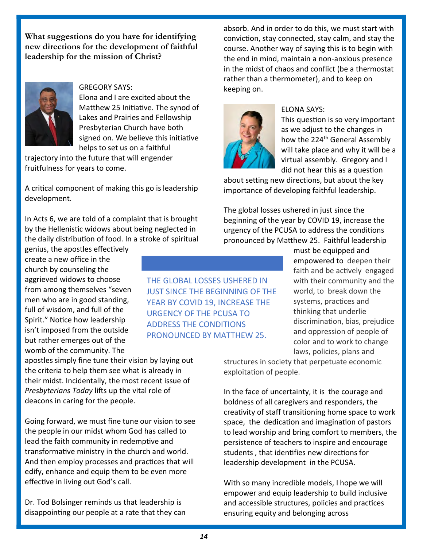What suggestions do you have for identifying new directions for the development of faithful leadership for the mission of Christ?



GREGORY SAYS: Elona and I are excited about the Matthew 25 Initiative. The synod of Lakes and Prairies and Fellowship Presbyterian Church have both signed on. We believe this initiative helps to set us on a faithful

trajectory into the future that will engender fruitfulness for years to come.

A critical component of making this go is leadership development.

In Acts 6, we are told of a complaint that is brought by the Hellenistic widows about being neglected in the daily distribution of food. In a stroke of spiritual

genius, the apostles efectively create a new office in the church by counseling the aggrieved widows to choose from among themselves "seven men who are in good standing, full of wisdom, and full of the Spirit." Notice how leadership isn't imposed from the outside but rather emerges out of the womb of the community. The

apostles simply fine tune their vision by laying out the criteria to help them see what is already in their midst. Incidentally, the most recent issue of Presbyterians Today lifts up the vital role of deacons in caring for the people.

Going forward, we must fne tune our vision to see the people in our midst whom God has called to lead the faith community in redemptive and transformative ministry in the church and world. And then employ processes and practices that will edify, enhance and equip them to be even more effective in living out God's call.

Dr. Tod Bolsinger reminds us that leadership is disappointing our people at a rate that they can

THE GLOBAL LOSSES USHERED IN JUST SINCE THE BEGINNING OF THE YEAR BY COVID 19, INCREASE THE URGENCY OF THE PCUSA TO ADDRESS THE CONDITIONS PRONOUNCED BY MATTHEW 25.

absorb. And in order to do this, we must start with conviction, stay connected, stay calm, and stay the course. Another way of saying this is to begin with the end in mind, maintain a non-anxious presence in the midst of chaos and conflict (be a thermostat rather than a thermometer), and to keep on keeping on.



# ELONA SAYS:

This question is so very important as we adjust to the changes in how the 224<sup>th</sup> General Assembly will take place and why it will be a virtual assembly. Gregory and I did not hear this as a question

about setting new directions, but about the key importance of developing faithful leadership.

The global losses ushered in just since the beginning of the year by COVID 19, increase the urgency of the PCUSA to address the conditions pronounced by Matthew 25. Faithful leadership

> must be equipped and empowered to deepen their faith and be actively engaged with their community and the world, to break down the systems, practices and thinking that underlie discrimination, bias, prejudice and oppression of people of color and to work to change laws, policies, plans and

structures in society that perpetuate economic exploitation of people.

In the face of uncertainty, it is the courage and boldness of all caregivers and responders, the creativity of staff transitioning home space to work space, the dedication and imagination of pastors to lead worship and bring comfort to members, the persistence of teachers to inspire and encourage students, that identifies new directions for leadership development in the PCUSA.

With so many incredible models, I hope we will empower and equip leadership to build inclusive and accessible structures, policies and practices ensuring equity and belonging across